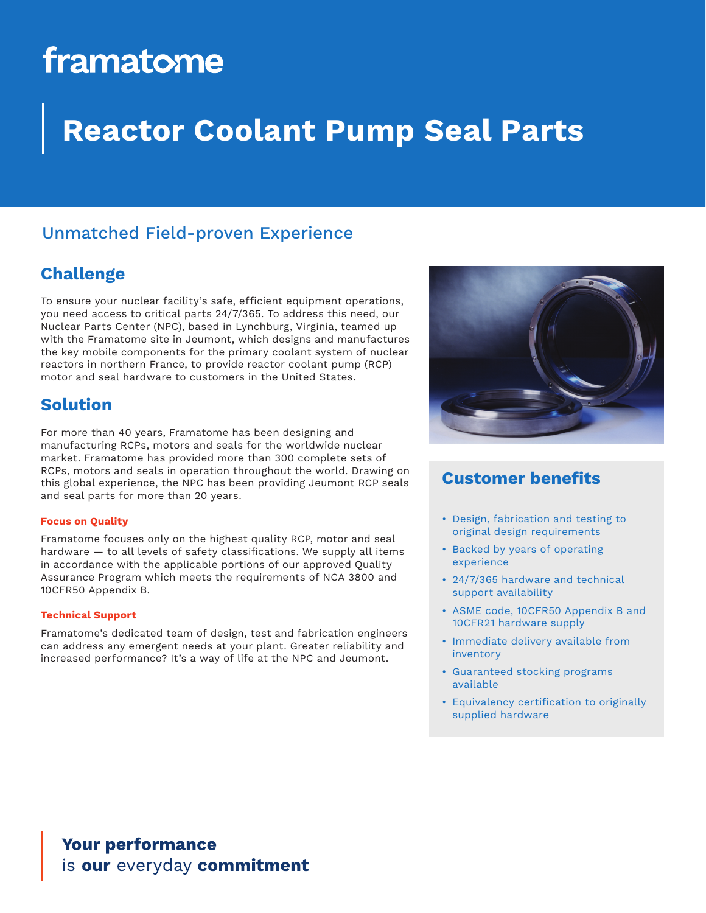# framatome

## **Reactor Coolant Pump Seal Parts**

## Unmatched Field-proven Experience

## **Challenge**

To ensure your nuclear facility's safe, efficient equipment operations, you need access to critical parts 24/7/365. To address this need, our Nuclear Parts Center (NPC), based in Lynchburg, Virginia, teamed up with the Framatome site in Jeumont, which designs and manufactures the key mobile components for the primary coolant system of nuclear reactors in northern France, to provide reactor coolant pump (RCP) motor and seal hardware to customers in the United States.

## **Solution**

For more than 40 years, Framatome has been designing and manufacturing RCPs, motors and seals for the worldwide nuclear market. Framatome has provided more than 300 complete sets of RCPs, motors and seals in operation throughout the world. Drawing on this global experience, the NPC has been providing Jeumont RCP seals and seal parts for more than 20 years.

### **Focus on Quality**

Framatome focuses only on the highest quality RCP, motor and seal hardware — to all levels of safety classifications. We supply all items in accordance with the applicable portions of our approved Quality Assurance Program which meets the requirements of NCA 3800 and 10CFR50 Appendix B.

### **Technical Support**

Framatome's dedicated team of design, test and fabrication engineers can address any emergent needs at your plant. Greater reliability and increased performance? It's a way of life at the NPC and Jeumont.



## **Customer benefits**

- Design, fabrication and testing to original design requirements
- Backed by years of operating experience
- 24/7/365 hardware and technical support availability
- ASME code, 10CFR50 Appendix B and 10CFR21 hardware supply
- Immediate delivery available from inventory
- Guaranteed stocking programs available
- Equivalency certification to originally supplied hardware

**Your performance** is our everyday commitment